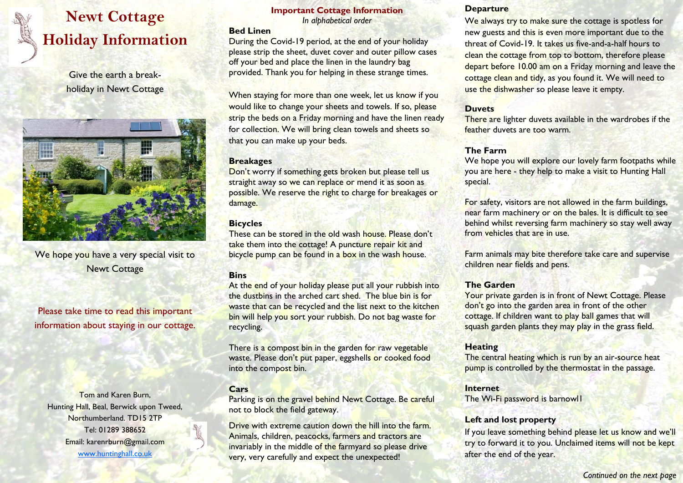# **Newt Cottage Holiday Information**

Give the earth a breakholiday in Newt Cottage



We hope you have a very special visit to Newt Cottage

Please take time to read this important information about staying in our cottage.

Tom and Karen Burn, Hunting Hall, Beal, Berwick upon Tweed, Northumberland. TD15 2TP Tel: 01289 388652 Email: karenrburn@gmail.com www.huntinghall.co.uk

# **Important Cottage Information**

*In alphabetical order*

#### **Bed Linen**

During the Covid-19 period, at the end of your holiday please strip the sheet, duvet cover and outer pillow cases off your bed and place the linen in the laundry bag provided. Thank you for helping in these strange times.

When staying for more than one week, let us know if you would like to change your sheets and towels. If so, please strip the beds on a Friday morning and have the linen ready for collection. We will bring clean towels and sheets so that you can make up your beds.

#### **Breakages**

Don't worry if something gets broken but please tell us straight away so we can replace or mend it as soon as possible. We reserve the right to charge for breakages or damage.

## **Bicycles**

These can be stored in the old wash house. Please don't take them into the cottage! A puncture repair kit and bicycle pump can be found in a box in the wash house.

## **Bins**

At the end of your holiday please put all your rubbish into the dustbins in the arched cart shed. The blue bin is for waste that can be recycled and the list next to the kitchen bin will help you sort your rubbish. Do not bag waste for recycling.

There is a compost bin in the garden for raw vegetable waste. Please don't put paper, eggshells or cooked food into the compost bin.

## **Cars**

Parking is on the gravel behind Newt Cottage. Be careful not to block the field gateway.

Drive with extreme caution down the hill into the farm. Animals, children, peacocks, farmers and tractors are invariably in the middle of the farmyard so please drive very, very carefully and expect the unexpected!

#### **Departure**

We always try to make sure the cottage is spotless for new guests and this is even more important due to the threat of Covid-19. It takes us five-and-a-half hours to clean the cottage from top to bottom, therefore please depart before 10.00 am on a Friday morning and leave the cottage clean and tidy, as you found it. We will need to use the dishwasher so please leave it empty.

## **Duvets**

There are lighter duvets available in the wardrobes if the feather duvets are too warm.

# **The Farm**

We hope you will explore our lovely farm footpaths while you are here - they help to make a visit to Hunting Hall special.

For safety, visitors are not allowed in the farm buildings, near farm machinery or on the bales. It is difficult to see behind whilst reversing farm machinery so stay well away from vehicles that are in use.

Farm animals may bite therefore take care and supervise children near fields and pens.

## **The Garden**

Your private garden is in front of Newt Cottage. Please don't go into the garden area in front of the other cottage. If children want to play ball games that will squash garden plants they may play in the grass field.

## **Heating**

The central heating which is run by an air-source heat pump is controlled by the thermostat in the passage.

## **Internet**

The Wi-Fi password is barnowl1

## **Left and lost property**

If you leave something behind please let us know and we'll try to forward it to you. Unclaimed items will not be kept after the end of the year.